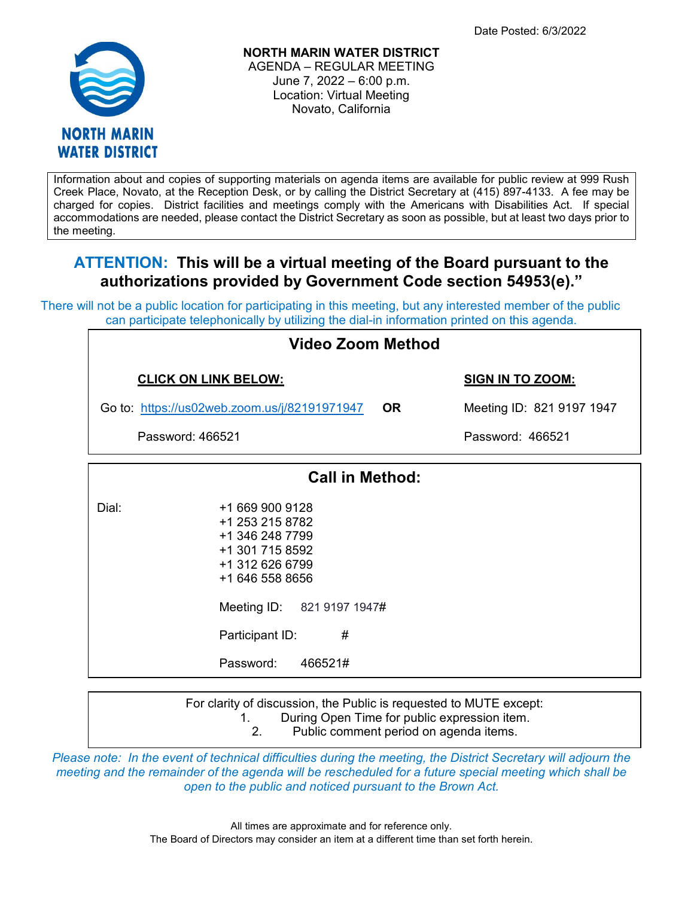

**NORTH MARIN WATER DISTRICT** AGENDA – REGULAR MEETING June 7, 2022 – 6:00 p.m. Location: Virtual Meeting Novato, California

Information about and copies of supporting materials on agenda items are available for public review at 999 Rush Creek Place, Novato, at the Reception Desk, or by calling the District Secretary at (415) 897-4133. A fee may be charged for copies. District facilities and meetings comply with the Americans with Disabilities Act. If special accommodations are needed, please contact the District Secretary as soon as possible, but at least two days prior to the meeting.

# **ATTENTION: This will be a virtual meeting of the Board pursuant to the authorizations provided by Government Code section 54953(e)."**

There will not be a public location for participating in this meeting, but any interested member of the public can participate telephonically by utilizing the dial-in information printed on this agenda.

| Video Zoom Method                            |                                                                                                                                                                                           |                                        |  |
|----------------------------------------------|-------------------------------------------------------------------------------------------------------------------------------------------------------------------------------------------|----------------------------------------|--|
| <b>CLICK ON LINK BELOW:</b>                  |                                                                                                                                                                                           | <b>SIGN IN TO ZOOM:</b>                |  |
| Go to: https://us02web.zoom.us/j/82191971947 |                                                                                                                                                                                           | <b>OR</b><br>Meeting ID: 821 9197 1947 |  |
| Password: 466521                             |                                                                                                                                                                                           | Password: 466521                       |  |
| <b>Call in Method:</b>                       |                                                                                                                                                                                           |                                        |  |
| Dial:                                        | +1 669 900 9128<br>+1 253 215 8782<br>+1 346 248 7799<br>+1 301 715 8592<br>+1 312 626 6799<br>+1 646 558 8656<br>Meeting ID: 821 9197 1947#<br>#<br>Participant ID:<br>Password: 466521# |                                        |  |

For clarity of discussion, the Public is requested to MUTE except:

1. During Open Time for public expression item.

2. Public comment period on agenda items.

*Please note: In the event of technical difficulties during the meeting, the District Secretary will adjourn the meeting and the remainder of the agenda will be rescheduled for a future special meeting which shall be open to the public and noticed pursuant to the Brown Act.*

> All times are approximate and for reference only. The Board of Directors may consider an item at a different time than set forth herein.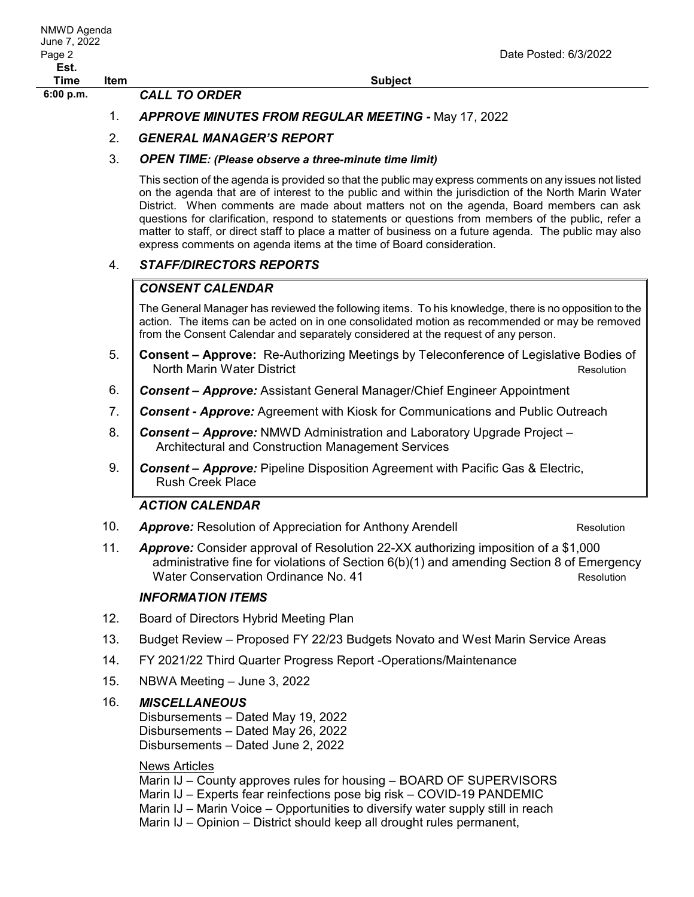## 1. *APPROVE MINUTES FROM REGULAR MEETING -* May 17, 2022

## 2. *GENERAL MANAGER'S REPORT*

#### 3. *OPEN TIME: (Please observe a three-minute time limit)*

This section of the agenda is provided so that the public may express comments on any issues not listed on the agenda that are of interest to the public and within the jurisdiction of the North Marin Water District. When comments are made about matters not on the agenda, Board members can ask questions for clarification, respond to statements or questions from members of the public, refer a matter to staff, or direct staff to place a matter of business on a future agenda. The public may also express comments on agenda items at the time of Board consideration.

## 4. *STAFF/DIRECTORS REPORTS*

## *CONSENT CALENDAR*

The General Manager has reviewed the following items. To his knowledge, there is no opposition to the action. The items can be acted on in one consolidated motion as recommended or may be removed from the Consent Calendar and separately considered at the request of any person.

- 5. **Consent – Approve:**Re-Authorizing Meetings by Teleconference of Legislative Bodies of North Marin Water District Resolution
- 6. *Consent – Approve:* Assistant General Manager/Chief Engineer Appointment
- 7. *Consent - Approve:* Agreement with Kiosk for Communications and Public Outreach
- 8. *Consent – Approve:* NMWD Administration and Laboratory Upgrade Project Architectural and Construction Management Services
- 9. *Consent – Approve:* Pipeline Disposition Agreement with Pacific Gas & Electric, Rush Creek Place

## *ACTION CALENDAR*

10. **Approve:** Resolution of Appreciation for Anthony Arendell **Resolution** Resolution

11. *Approve:* Consider approval of Resolution 22-XX authorizing imposition of a \$1,000 administrative fine for violations of Section 6(b)(1) and amending Section 8 of Emergency Water Conservation Ordinance No. 41 Material Conservation Resolution

### *INFORMATION ITEMS*

- 12. Board of Directors Hybrid Meeting Plan
- 13. Budget Review Proposed FY 22/23 Budgets Novato and West Marin Service Areas
- 14. FY 2021/22 Third Quarter Progress Report -Operations/Maintenance
- 15. NBWA Meeting June 3, 2022

### 16. *MISCELLANEOUS*

Disbursements – Dated May 19, 2022 Disbursements – Dated May 26, 2022 Disbursements – Dated June 2, 2022

### News Articles

Marin IJ – County approves rules for housing – BOARD OF SUPERVISORS Marin IJ – Experts fear reinfections pose big risk – COVID-19 PANDEMIC Marin IJ – Marin Voice – Opportunities to diversify water supply still in reach Marin IJ – Opinion – District should keep all drought rules permanent,